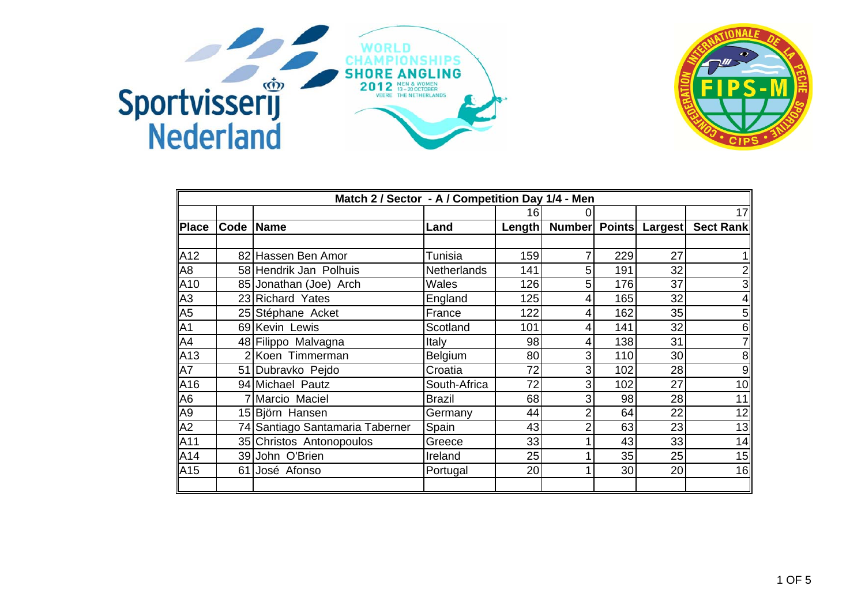



|                 | Match 2 / Sector - A / Competition Day 1/4 - Men |                                 |                    |        |   |     |                              |                         |  |  |
|-----------------|--------------------------------------------------|---------------------------------|--------------------|--------|---|-----|------------------------------|-------------------------|--|--|
|                 |                                                  |                                 |                    | 16     |   |     |                              | 17                      |  |  |
| <b>Place</b>    |                                                  | Code Name                       | Land               | Length |   |     | <b>Number Points Largest</b> | Sect Rank               |  |  |
|                 |                                                  |                                 |                    |        |   |     |                              |                         |  |  |
| A12             |                                                  | 82 Hassen Ben Amor              | Tunisia            | 159    |   | 229 | 27                           |                         |  |  |
| A <sub>8</sub>  |                                                  | 58 Hendrik Jan Polhuis          | <b>Netherlands</b> | 141    | 5 | 191 | 32                           | $\overline{2}$          |  |  |
| A10             |                                                  | 85 Jonathan (Joe) Arch          | Wales              | 126    | 5 | 176 | 37                           | $\overline{\mathbf{3}}$ |  |  |
| A3              |                                                  | 23 Richard Yates                | England            | 125    |   | 165 | 32                           | $\overline{4}$          |  |  |
| A <sub>5</sub>  |                                                  | 25 Stéphane Acket               | France             | 122    | 4 | 162 | 35                           | 5 <sub>l</sub>          |  |  |
| A <sub>1</sub>  |                                                  | 69 Kevin Lewis                  | Scotland           | 101    | 4 | 141 | 32                           | 6                       |  |  |
| A4              |                                                  | 48 Filippo Malvagna             | Italy              | 98     | 4 | 138 | 31                           | 7                       |  |  |
| A <sub>13</sub> |                                                  | 2 Koen Timmerman                | <b>Belgium</b>     | 80     | 3 | 110 | 30                           | 8 <sup>1</sup>          |  |  |
| A7              |                                                  | 51 Dubravko Pejdo               | Croatia            | 72     | 3 | 102 | 28                           | 9                       |  |  |
| A <sub>16</sub> |                                                  | 94 Michael Pautz                | South-Africa       | 72     | 3 | 102 | 27                           | 10                      |  |  |
| A <sub>6</sub>  |                                                  | 7 Marcio Maciel                 | <b>Brazil</b>      | 68     | 3 | 98  | 28                           | 11                      |  |  |
| A <sub>9</sub>  |                                                  | 15 Björn Hansen                 | Germany            | 44     | 2 | 64  | 22                           | 12                      |  |  |
| A2              |                                                  | 74 Santiago Santamaria Taberner | Spain              | 43     | 2 | 63  | 23                           | 13                      |  |  |
| A11             |                                                  | 35 Christos Antonopoulos        | Greece             | 33     |   | 43  | 33                           | 14                      |  |  |
| A14             |                                                  | 39 John O'Brien                 | Ireland            | 25     |   | 35  | 25                           | 15                      |  |  |
| A <sub>15</sub> |                                                  | 61 José Afonso                  | Portugal           | 20     |   | 30  | 20                           | 16                      |  |  |
|                 |                                                  |                                 |                    |        |   |     |                              |                         |  |  |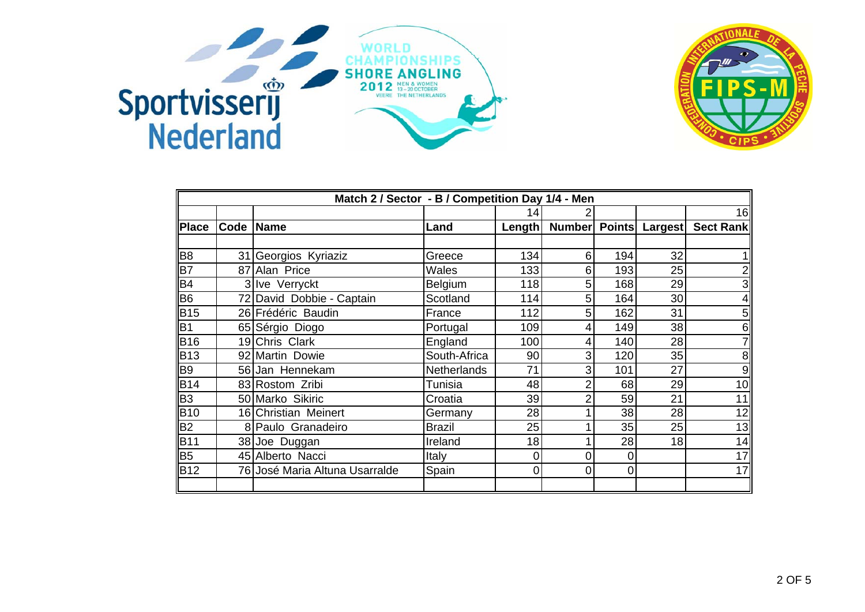



|                | Match 2 / Sector - B / Competition Day 1/4 - Men |                                |                    |             |               |     |         |                  |  |  |
|----------------|--------------------------------------------------|--------------------------------|--------------------|-------------|---------------|-----|---------|------------------|--|--|
|                |                                                  |                                |                    | 14          |               |     |         | 16               |  |  |
| <b>Place</b>   | Code Name                                        |                                | Land               | Length      | Number Points |     | Largest | <b>Sect Rank</b> |  |  |
|                |                                                  |                                |                    |             |               |     |         |                  |  |  |
| B <sub>8</sub> |                                                  | 31 Georgios Kyriaziz           | Greece             | 134         | 6             | 194 | 32      |                  |  |  |
| B7             |                                                  | 87 Alan Price                  | Wales              | 133         | 6             | 193 | 25      | $\overline{2}$   |  |  |
| B <sub>4</sub> |                                                  | 3 Ive Verryckt                 | Belgium            | 118         | 5             | 168 | 29      | 3                |  |  |
| B <sub>6</sub> |                                                  | 72 David Dobbie - Captain      | Scotland           | 114         | 5             | 164 | 30      | $\overline{4}$   |  |  |
| <b>B</b> 15    |                                                  | 26 Frédéric Baudin             | France             | 112         | 5             | 162 | 31      | 5 <sub>l</sub>   |  |  |
| B <sub>1</sub> |                                                  | 65 Sérgio Diogo                | Portugal           | 109         | 4             | 149 | 38      | 6                |  |  |
| <b>B</b> 16    |                                                  | 19 Chris Clark                 | England            | 100         | 4             | 140 | 28      | $\mathsf{Z}$     |  |  |
| <b>B</b> 13    |                                                  | 92 Martin Dowie                | South-Africa       | 90          | 3             | 120 | 35      | 8 <sup>1</sup>   |  |  |
| B <sub>9</sub> |                                                  | 56 Jan Hennekam                | <b>Netherlands</b> | 71          | 3             | 101 | 27      | 9                |  |  |
| <b>B14</b>     |                                                  | 83 Rostom Zribi                | <b>Tunisia</b>     | 48          | 2             | 68  | 29      | 10               |  |  |
| B <sub>3</sub> |                                                  | 50 Marko Sikiric               | Croatia            | 39          | 2             | 59  | 21      | 11               |  |  |
| <b>B10</b>     |                                                  | 16 Christian Meinert           | Germany            | 28          |               | 38  | 28      | 12               |  |  |
| B <sub>2</sub> |                                                  | 8 Paulo Granadeiro             | <b>Brazil</b>      | 25          |               | 35  | 25      | 13               |  |  |
| B11            |                                                  | 38 Joe Duggan                  | Ireland            | 18          |               | 28  | 18      | 14               |  |  |
| <b>B</b> 5     |                                                  | 45 Alberto Nacci               | Italy              | 0           | 0             | 0   |         | 17               |  |  |
| <b>B</b> 12    |                                                  | 76 José Maria Altuna Usarralde | Spain              | $\mathbf 0$ | 0             | 0   |         | 17               |  |  |
|                |                                                  |                                |                    |             |               |     |         |                  |  |  |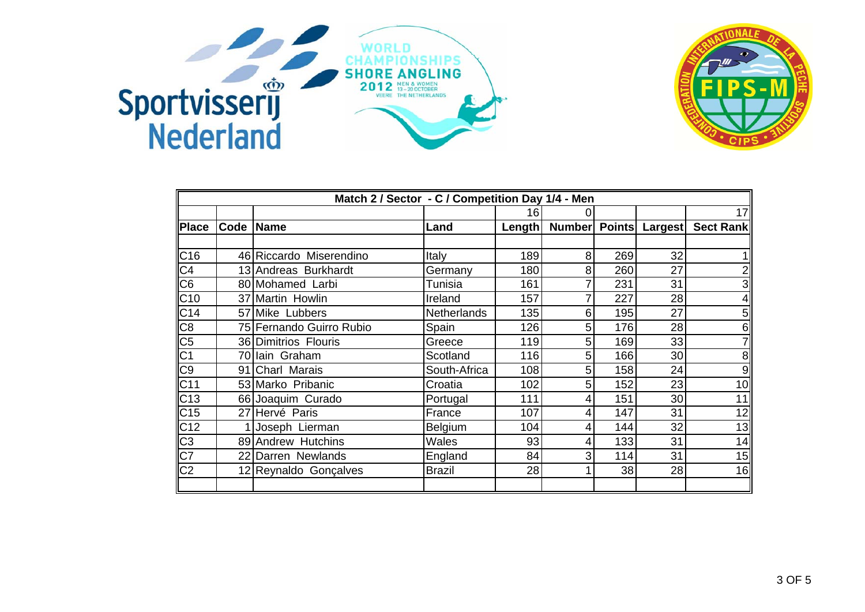



|                 | Match 2 / Sector - C / Competition Day 1/4 - Men |                          |                    |        |   |     |                       |                         |  |  |
|-----------------|--------------------------------------------------|--------------------------|--------------------|--------|---|-----|-----------------------|-------------------------|--|--|
|                 |                                                  |                          |                    | 16     | 0 |     |                       | 17                      |  |  |
| <b>Place</b>    | Code Name                                        |                          | Land               | Length |   |     | Number Points Largest | Sect Rank               |  |  |
|                 |                                                  |                          |                    |        |   |     |                       |                         |  |  |
| C16             |                                                  | 46 Riccardo Miserendino  | Italy              | 189    | 8 | 269 | 32                    |                         |  |  |
| C <sub>4</sub>  |                                                  | 13 Andreas Burkhardt     | Germany            | 180    | 8 | 260 | 27                    | $\overline{2}$          |  |  |
| C <sub>6</sub>  |                                                  | 80 Mohamed Larbi         | <b>Tunisia</b>     | 161    |   | 231 | 31                    | $\overline{\mathbf{3}}$ |  |  |
| C10             |                                                  | 37 Martin Howlin         | Ireland            | 157    |   | 227 | 28                    | $\overline{4}$          |  |  |
| C14             |                                                  | 57 Mike Lubbers          | <b>Netherlands</b> | 135    | 6 | 195 | 27                    | 5 <sub>l</sub>          |  |  |
| C8              |                                                  | 75 Fernando Guirro Rubio | Spain              | 126    | 5 | 176 | 28                    | 6                       |  |  |
| C <sub>5</sub>  |                                                  | 36 Dimitrios Flouris     | Greece             | 119    | 5 | 169 | 33                    | $\mathbf{z}$            |  |  |
| $\overline{C1}$ |                                                  | 70 Iain Graham           | Scotland           | 116    | 5 | 166 | 30                    | 8 <sup>1</sup>          |  |  |
| C9              |                                                  | 91 Charl Marais          | South-Africa       | 108    | 5 | 158 | 24                    | 9                       |  |  |
| C <sub>11</sub> |                                                  | 53 Marko Pribanic        | Croatia            | 102    | 5 | 152 | 23                    | 10                      |  |  |
| C <sub>13</sub> |                                                  | 66 Joaquim Curado        | Portugal           | 111    | 4 | 151 | 30                    | 11                      |  |  |
| C <sub>15</sub> |                                                  | 27 Hervé Paris           | France             | 107    | 4 | 147 | 31                    | 12                      |  |  |
| C <sub>12</sub> |                                                  | Joseph Lierman           | Belgium            | 104    | 4 | 144 | 32                    | 13                      |  |  |
| C3              |                                                  | 89 Andrew Hutchins       | Wales              | 93     | 4 | 133 | 31                    | 14                      |  |  |
| $\overline{C7}$ |                                                  | 22 Darren Newlands       | England            | 84     | 3 | 114 | 31                    | 15                      |  |  |
| $\overline{C2}$ |                                                  | 12 Reynaldo Gonçalves    | <b>Brazil</b>      | 28     |   | 38  | 28                    | 16                      |  |  |
|                 |                                                  |                          |                    |        |   |     |                       |                         |  |  |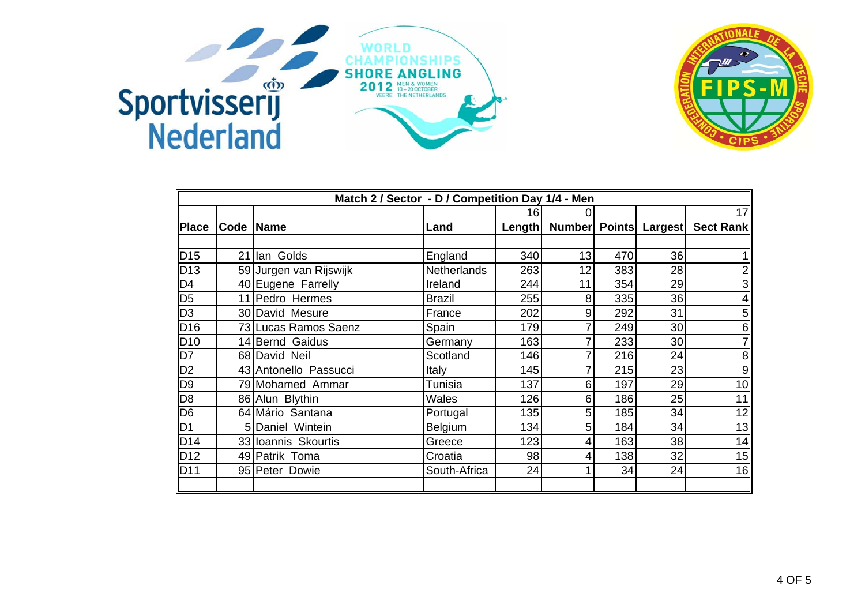



|                         | Match 2 / Sector - D / Competition Day 1/4 - Men |                        |                    |        |               |     |         |                  |  |  |
|-------------------------|--------------------------------------------------|------------------------|--------------------|--------|---------------|-----|---------|------------------|--|--|
|                         |                                                  |                        |                    | 16     | 0             |     |         | 17               |  |  |
| <b>Place</b>            |                                                  | Code Name              | Land               | Length | Number Points |     | Largest | <b>Sect Rank</b> |  |  |
|                         |                                                  |                        |                    |        |               |     |         |                  |  |  |
| D15                     |                                                  | 21 Ian Golds           | England            | 340    | 13            | 470 | 36      |                  |  |  |
| $\vert$ D <sub>13</sub> |                                                  | 59 Jurgen van Rijswijk | <b>Netherlands</b> | 263    | 12            | 383 | 28      | $\overline{2}$   |  |  |
| D4                      |                                                  | 40 Eugene Farrelly     | Ireland            | 244    | 11            | 354 | 29      | 3                |  |  |
| $\overline{\text{D5}}$  |                                                  | 11 Pedro Hermes        | <b>Brazil</b>      | 255    | 8             | 335 | 36      | $\overline{4}$   |  |  |
| $\overline{D3}$         |                                                  | 30 David Mesure        | France             | 202    | 9             | 292 | 31      | 5 <sub>l</sub>   |  |  |
| $\vert$ D <sub>16</sub> |                                                  | 73 Lucas Ramos Saenz   | Spain              | 179    |               | 249 | 30      | 6                |  |  |
| D10                     |                                                  | 14 Bernd Gaidus        | Germany            | 163    | 7             | 233 | 30      | 7                |  |  |
| D7                      |                                                  | 68 David Neil          | Scotland           | 146    |               | 216 | 24      | 8 <sup>1</sup>   |  |  |
| D2                      |                                                  | 43 Antonello Passucci  | Italy              | 145    |               | 215 | 23      | 9                |  |  |
| D <sub>9</sub>          |                                                  | 79 Mohamed Ammar       | <b>Tunisia</b>     | 137    | 6             | 197 | 29      | 10               |  |  |
| D <sub>8</sub>          |                                                  | 86 Alun Blythin        | <b>Wales</b>       | 126    | 6             | 186 | 25      | 11               |  |  |
| D <sub>6</sub>          |                                                  | 64 Mário Santana       | Portugal           | 135    | 5             | 185 | 34      | 12               |  |  |
| D <sub>1</sub>          |                                                  | 5 Daniel Wintein       | Belgium            | 134    | 5             | 184 | 34      | 13               |  |  |
| DD14                    |                                                  | 33 Ioannis Skourtis    | Greece             | 123    | 4             | 163 | 38      | 14               |  |  |
| $\vert$ D12             |                                                  | 49 Patrik Toma         | Croatia            | 98     | 4             | 138 | 32      | 15               |  |  |
| DD11                    |                                                  | 95 Peter Dowie         | South-Africa       | 24     |               | 34  | 24      | 16               |  |  |
|                         |                                                  |                        |                    |        |               |     |         |                  |  |  |